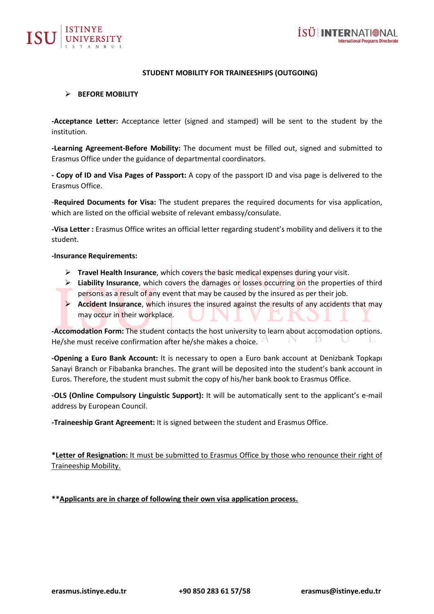



# **STUDENT MOBILITY FOR TRAINEESHIPS (OUTGOING)**

### ➢ **BEFORE MOBILITY**

**-Acceptance Letter:** Acceptance letter (signed and stamped) will be sent to the student by the institution.

**-Learning Agreement-Before Mobility:** The document must be filled out, signed and submitted to Erasmus Office under the guidance of departmental coordinators.

**- Copy of ID and Visa Pages of Passport:** A copy of the passport ID and visa page is delivered to the Erasmus Office.

-**Required Documents for Visa:** The student prepares the required documents for visa application, which are listed on the official website of relevant embassy/consulate.

**-Visa Letter :** Erasmus Office writes an official letter regarding student's mobility and delivers it to the student.

#### **-Insurance Requirements:**

- ➢ **Travel Health Insurance**, which covers the basic medical expenses during your visit.
- ➢ **Liability Insurance**, which covers the damages or losses occurring on the properties of third persons as a result of any event that may be caused by the insured as per their job.
- ➢ **Accident Insurance**, which insures the insured against the results of any accidents that may may occur in their workplace.

**-Accomodation Form:** The student contacts the host university to learn about accomodation options. He/she must receive confirmation after he/she makes a choice.

**-Opening a Euro Bank Account:** It is necessary to open a Euro bank account at Denizbank Topkapı Sanayi Branch or Fibabanka branches. The grant will be deposited into the student's bank account in Euros. Therefore, the student must submit the copy of his/her bank book to Erasmus Office.

**-OLS (Online Compulsory Linguistic Support):** It will be automatically sent to the applicant's e-mail address by European Council.

**-Traineeship Grant Agreement:** It is signed between the student and Erasmus Office.

**\*Letter of Resignation:** It must be submitted to Erasmus Office by those who renounce their right of Traineeship Mobility.

**\*\*Applicants are in charge of following their own visa application process.**